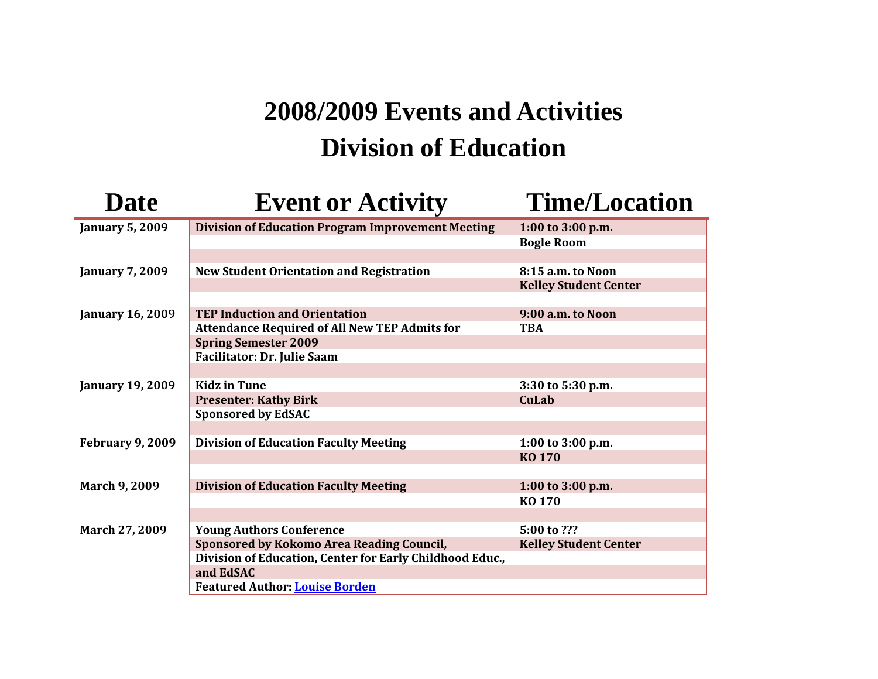## **2008/2009 Events and Activities Division of Education**

| <b>Date</b>             | <b>Event or Activity</b>                                 | <b>Time/Location</b>         |
|-------------------------|----------------------------------------------------------|------------------------------|
| <b>January 5, 2009</b>  | <b>Division of Education Program Improvement Meeting</b> | 1:00 to 3:00 p.m.            |
|                         |                                                          | <b>Bogle Room</b>            |
|                         |                                                          |                              |
| <b>January 7, 2009</b>  | <b>New Student Orientation and Registration</b>          | 8:15 a.m. to Noon            |
|                         |                                                          | <b>Kelley Student Center</b> |
|                         |                                                          |                              |
| <b>January 16, 2009</b> | <b>TEP Induction and Orientation</b>                     | 9:00 a.m. to Noon            |
|                         | <b>Attendance Required of All New TEP Admits for</b>     | <b>TBA</b>                   |
|                         | <b>Spring Semester 2009</b>                              |                              |
|                         | Facilitator: Dr. Julie Saam                              |                              |
|                         |                                                          |                              |
| <b>January 19, 2009</b> | <b>Kidz in Tune</b>                                      | 3:30 to 5:30 p.m.            |
|                         | <b>Presenter: Kathy Birk</b>                             | CuLab                        |
|                         | <b>Sponsored by EdSAC</b>                                |                              |
|                         |                                                          |                              |
| <b>February 9, 2009</b> | <b>Division of Education Faculty Meeting</b>             | 1:00 to 3:00 p.m.            |
|                         |                                                          | <b>KO 170</b>                |
|                         |                                                          |                              |
| <b>March 9, 2009</b>    | <b>Division of Education Faculty Meeting</b>             | 1:00 to 3:00 p.m.            |
|                         |                                                          | KO 170                       |
|                         |                                                          |                              |
| March 27, 2009          | <b>Young Authors Conference</b>                          | 5:00 to ???                  |
|                         | Sponsored by Kokomo Area Reading Council,                | <b>Kelley Student Center</b> |
|                         | Division of Education, Center for Early Childhood Educ., |                              |
|                         | and EdSAC                                                |                              |
|                         | <b>Featured Author: Louise Borden</b>                    |                              |